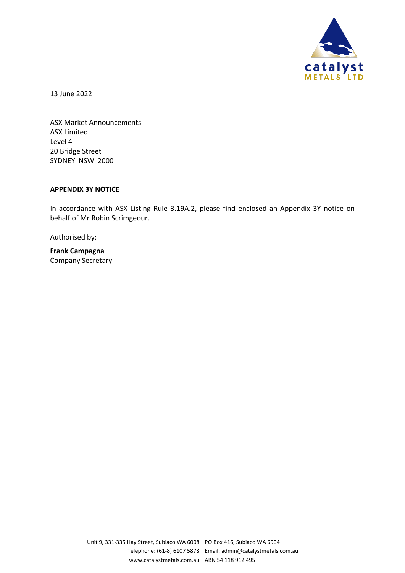

13 June 2022

ASX Market Announcements ASX Limited Level 4 20 Bridge Street SYDNEY NSW 2000

#### **APPENDIX 3Y NOTICE**

In accordance with ASX Listing Rule 3.19A.2, please find enclosed an Appendix 3Y notice on behalf of Mr Robin Scrimgeour.

Authorised by:

**Frank Campagna** Company Secretary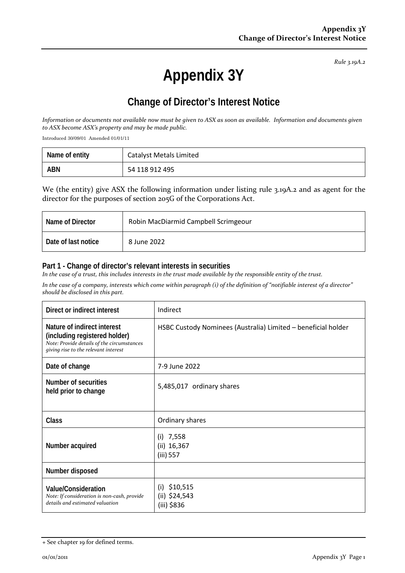*Rule 3.19A.2*

# **Appendix 3Y**

# **Change of Director's Interest Notice**

*Information or documents not available now must be given to ASX as soon as available. Information and documents given to ASX become ASX's property and may be made public.*

Introduced 30/09/01 Amended 01/01/11

| Name of entity | <b>Catalyst Metals Limited</b> |
|----------------|--------------------------------|
| <b>ABN</b>     | 54 118 912 495                 |

We (the entity) give ASX the following information under listing rule 3.19A.2 and as agent for the director for the purposes of section 205G of the Corporations Act.

| Name of Director    | Robin MacDiarmid Campbell Scrimgeour |
|---------------------|--------------------------------------|
| Date of last notice | 8 June 2022                          |

#### **Part 1 - Change of director's relevant interests in securities**

*In the case of a trust, this includes interests in the trust made available by the responsible entity of the trust.*

*In the case of a company, interests which come within paragraph (i) of the definition of "notifiable interest of a director" should be disclosed in this part.*

| Direct or indirect interest                                                                                                                        | Indirect                                                      |
|----------------------------------------------------------------------------------------------------------------------------------------------------|---------------------------------------------------------------|
| Nature of indirect interest<br>(including registered holder)<br>Note: Provide details of the circumstances<br>giving rise to the relevant interest | HSBC Custody Nominees (Australia) Limited - beneficial holder |
| Date of change                                                                                                                                     | 7-9 June 2022                                                 |
| Number of securities<br>held prior to change                                                                                                       | 5,485,017 ordinary shares                                     |
| <b>Class</b>                                                                                                                                       | Ordinary shares                                               |
| Number acquired                                                                                                                                    | 7,558<br>(i)<br>(ii) 16,367<br>(iii) 557                      |
| Number disposed                                                                                                                                    |                                                               |
| <b>Value/Consideration</b><br>Note: If consideration is non-cash, provide<br>details and estimated valuation                                       | \$10,515<br>(i)<br>$(ii)$ \$24,543<br>(iii) \$836             |

<sup>+</sup> See chapter 19 for defined terms.